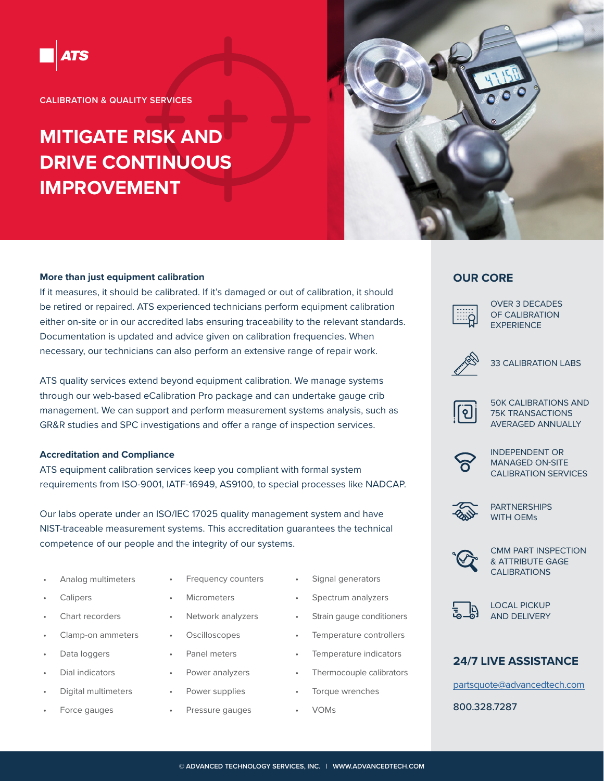

**CALIBRATION & QUALITY SERVICES**

# **MITIGATE RISK AND DRIVE CONTINUOUS IMPROVEMENT**



#### **More than just equipment calibration**

If it measures, it should be calibrated. If it's damaged or out of calibration, it should be retired or repaired. ATS experienced technicians perform equipment calibration either on-site or in our accredited labs ensuring traceability to the relevant standards. Documentation is updated and advice given on calibration frequencies. When necessary, our technicians can also perform an extensive range of repair work.

ATS quality services extend beyond equipment calibration. We manage systems through our web-based eCalibration Pro package and can undertake gauge crib management. We can support and perform measurement systems analysis, such as GR&R studies and SPC investigations and offer a range of inspection services.

#### **Accreditation and Compliance**

ATS equipment calibration services keep you compliant with formal system requirements from ISO-9001, IATF-16949, AS9100, to special processes like NADCAP.

Our labs operate under an ISO/IEC 17025 quality management system and have NIST-traceable measurement systems. This accreditation guarantees the technical competence of our people and the integrity of our systems.

- Analog multimeters
- **Calipers**
- Chart recorders
- Clamp-on ammeters
- Data loggers
- Dial indicators
- Digital multimeters
- Force gauges
- Frequency counters
- Micrometers
- Network analyzers
	- **Oscilloscopes**
	- Panel meters
- Power analyzers
- Power supplies
- Pressure gauges
- Signal generators
- Spectrum analyzers
- Strain gauge conditioners
- Temperature controllers
- Temperature indicators
- Thermocouple calibrators
- Torque wrenches
- VOMs

### **OUR CORE**



OVER 3 DECADES OF CALIBRATION **EXPERIENCE** 



33 CALIBRATION LABS



50K CALIBRATIONS AND 75K TRANSACTIONS AVERAGED ANNUALLY



INDEPENDENT OR MANAGED ON-SITE CALIBRATION SERVICES



PARTNERSHIPS WITH OEMs



CMM PART INSPECTION & ATTRIBUTE GAGE CALIBRATIONS



LOCAL PICKUP AND DELIVERY

#### **24/7 LIVE ASSISTANCE**

partsquote@advancedtech.com

800.328.7287